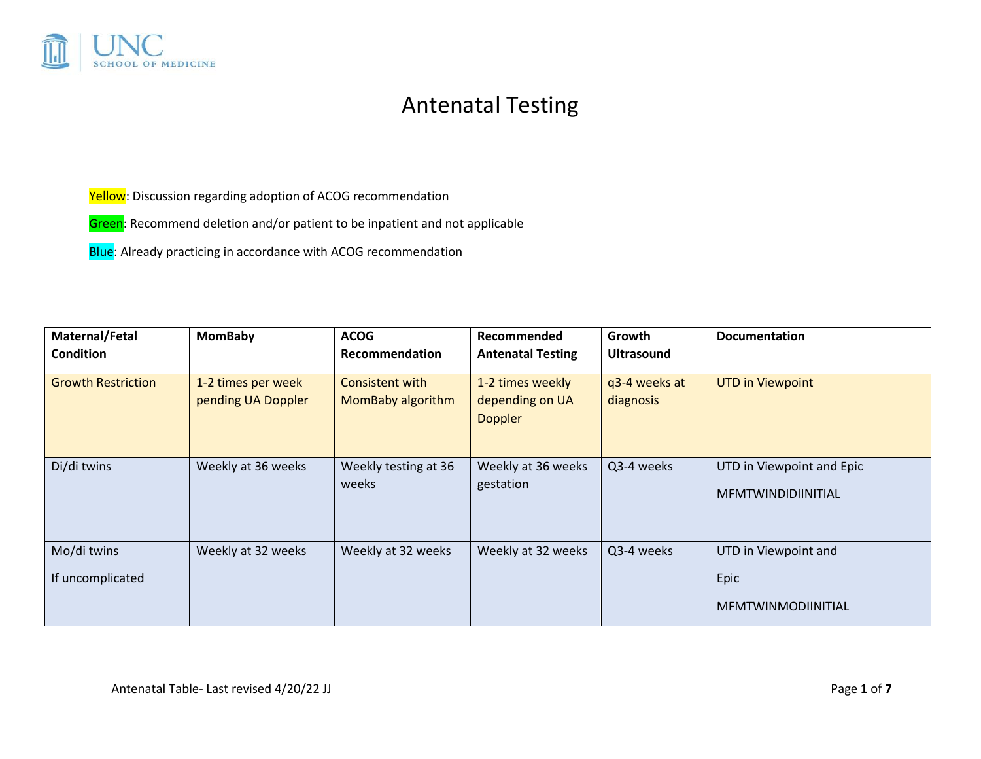

## Antenatal Testing

Yellow: Discussion regarding adoption of ACOG recommendation

Green: Recommend deletion and/or patient to be inpatient and not applicable

Blue: Already practicing in accordance with ACOG recommendation

| Maternal/Fetal<br><b>Condition</b> | <b>MomBaby</b>                           | <b>ACOG</b><br>Recommendation        | Recommended<br><b>Antenatal Testing</b>               | <b>Growth</b><br><b>Ultrasound</b> | <b>Documentation</b>                                      |
|------------------------------------|------------------------------------------|--------------------------------------|-------------------------------------------------------|------------------------------------|-----------------------------------------------------------|
| <b>Growth Restriction</b>          | 1-2 times per week<br>pending UA Doppler | Consistent with<br>MomBaby algorithm | 1-2 times weekly<br>depending on UA<br><b>Doppler</b> | q3-4 weeks at<br>diagnosis         | <b>UTD in Viewpoint</b>                                   |
| Di/di twins                        | Weekly at 36 weeks                       | Weekly testing at 36<br>weeks        | Weekly at 36 weeks<br>gestation                       | Q3-4 weeks                         | UTD in Viewpoint and Epic<br><b>MFMTWINDIDIINITIAL</b>    |
| Mo/di twins<br>If uncomplicated    | Weekly at 32 weeks                       | Weekly at 32 weeks                   | Weekly at 32 weeks                                    | Q3-4 weeks                         | UTD in Viewpoint and<br>Epic<br><b>MFMTWINMODIINITIAL</b> |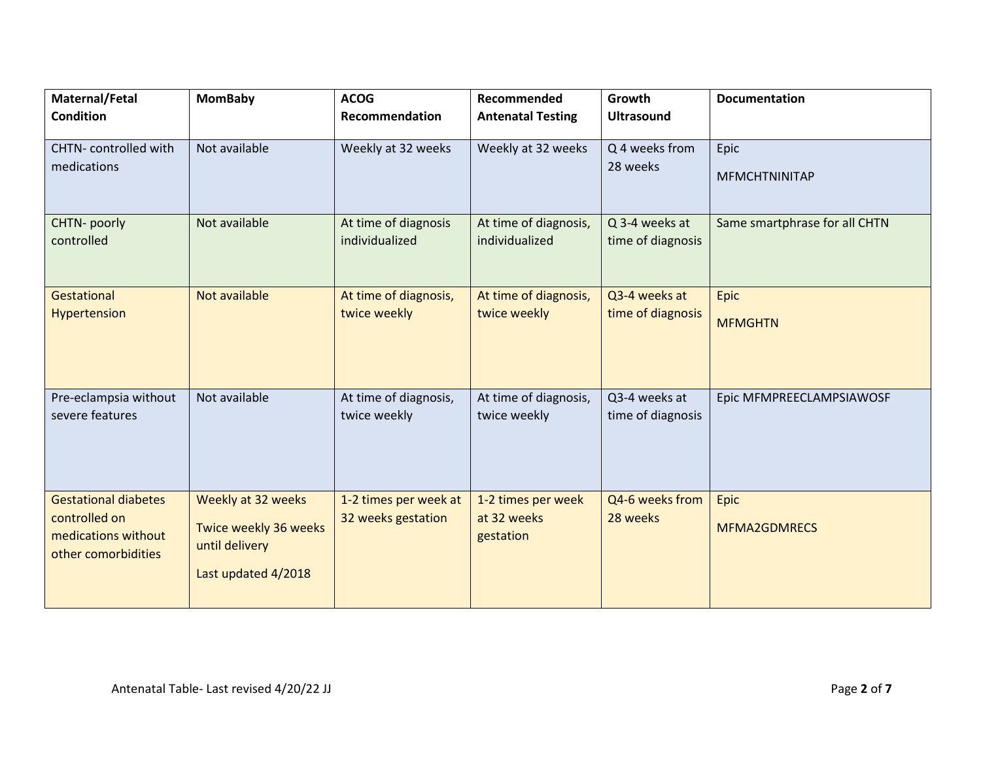| Maternal/Fetal<br><b>Condition</b>       | <b>MomBaby</b>                          | <b>ACOG</b><br>Recommendation          | Recommended<br><b>Antenatal Testing</b> | Growth<br><b>Ultrasound</b>         | <b>Documentation</b>          |
|------------------------------------------|-----------------------------------------|----------------------------------------|-----------------------------------------|-------------------------------------|-------------------------------|
|                                          |                                         |                                        |                                         |                                     |                               |
| CHTN-controlled with<br>medications      | Not available                           | Weekly at 32 weeks                     | Weekly at 32 weeks                      | Q 4 weeks from<br>28 weeks          | Epic                          |
|                                          |                                         |                                        |                                         |                                     | <b>MFMCHTNINITAP</b>          |
| CHTN- poorly<br>controlled               | Not available                           | At time of diagnosis<br>individualized | At time of diagnosis,<br>individualized | Q 3-4 weeks at<br>time of diagnosis | Same smartphrase for all CHTN |
|                                          |                                         |                                        |                                         |                                     |                               |
| Gestational                              | Not available                           | At time of diagnosis,                  | At time of diagnosis,                   | Q3-4 weeks at                       | Epic                          |
| Hypertension                             |                                         | twice weekly                           | twice weekly                            | time of diagnosis                   | <b>MFMGHTN</b>                |
|                                          |                                         |                                        |                                         |                                     |                               |
| Pre-eclampsia without<br>severe features | Not available                           | At time of diagnosis,<br>twice weekly  | At time of diagnosis,<br>twice weekly   | Q3-4 weeks at<br>time of diagnosis  | Epic MFMPREECLAMPSIAWOSF      |
|                                          |                                         |                                        |                                         |                                     |                               |
|                                          |                                         |                                        |                                         |                                     |                               |
| <b>Gestational diabetes</b>              | Weekly at 32 weeks                      | 1-2 times per week at                  | 1-2 times per week                      | Q4-6 weeks from                     | Epic                          |
| controlled on<br>medications without     | Twice weekly 36 weeks<br>until delivery | 32 weeks gestation                     | at 32 weeks<br>gestation                | 28 weeks                            | <b>MFMA2GDMRECS</b>           |
| other comorbidities                      | Last updated 4/2018                     |                                        |                                         |                                     |                               |
|                                          |                                         |                                        |                                         |                                     |                               |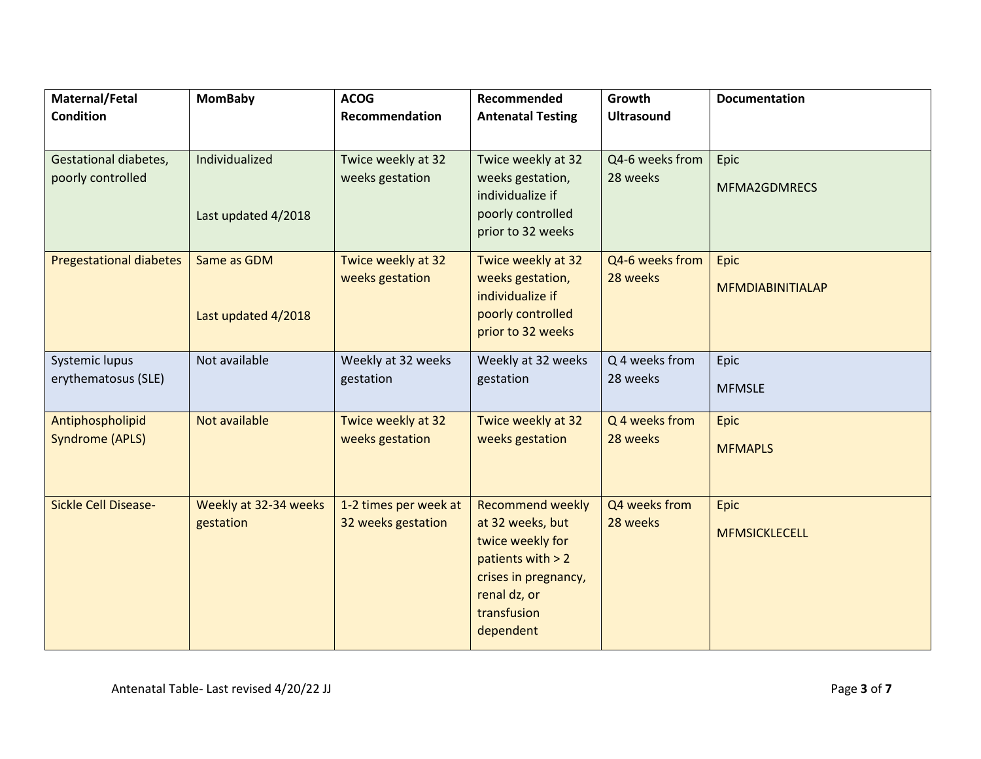| Maternal/Fetal                 | <b>MomBaby</b>        | <b>ACOG</b>           | Recommended                                 | Growth            | <b>Documentation</b>    |
|--------------------------------|-----------------------|-----------------------|---------------------------------------------|-------------------|-------------------------|
| <b>Condition</b>               |                       | Recommendation        | <b>Antenatal Testing</b>                    | <b>Ultrasound</b> |                         |
|                                |                       |                       |                                             |                   |                         |
| Gestational diabetes,          | Individualized        | Twice weekly at 32    | Twice weekly at 32                          | Q4-6 weeks from   | Epic                    |
| poorly controlled              |                       | weeks gestation       | weeks gestation,<br>individualize if        | 28 weeks          | MFMA2GDMRECS            |
|                                | Last updated 4/2018   |                       | poorly controlled                           |                   |                         |
|                                |                       |                       | prior to 32 weeks                           |                   |                         |
| <b>Pregestational diabetes</b> | Same as GDM           | Twice weekly at 32    | Twice weekly at 32                          | Q4-6 weeks from   | Epic                    |
|                                |                       | weeks gestation       | weeks gestation,                            | 28 weeks          | <b>MFMDIABINITIALAP</b> |
|                                | Last updated 4/2018   |                       | individualize if<br>poorly controlled       |                   |                         |
|                                |                       |                       | prior to 32 weeks                           |                   |                         |
| Systemic lupus                 | Not available         | Weekly at 32 weeks    | Weekly at 32 weeks                          | Q 4 weeks from    | Epic                    |
| erythematosus (SLE)            |                       | gestation             | gestation                                   | 28 weeks          | <b>MFMSLE</b>           |
|                                |                       |                       |                                             |                   |                         |
| Antiphospholipid               | Not available         | Twice weekly at 32    | Twice weekly at 32                          | Q 4 weeks from    | Epic                    |
| <b>Syndrome (APLS)</b>         |                       | weeks gestation       | weeks gestation                             | 28 weeks          | <b>MFMAPLS</b>          |
|                                |                       |                       |                                             |                   |                         |
| Sickle Cell Disease-           | Weekly at 32-34 weeks | 1-2 times per week at | <b>Recommend weekly</b>                     | Q4 weeks from     | Epic                    |
|                                | gestation             | 32 weeks gestation    | at 32 weeks, but                            | 28 weeks          | <b>MFMSICKLECELL</b>    |
|                                |                       |                       | twice weekly for                            |                   |                         |
|                                |                       |                       | patients with $> 2$<br>crises in pregnancy, |                   |                         |
|                                |                       |                       | renal dz, or                                |                   |                         |
|                                |                       |                       | transfusion                                 |                   |                         |
|                                |                       |                       | dependent                                   |                   |                         |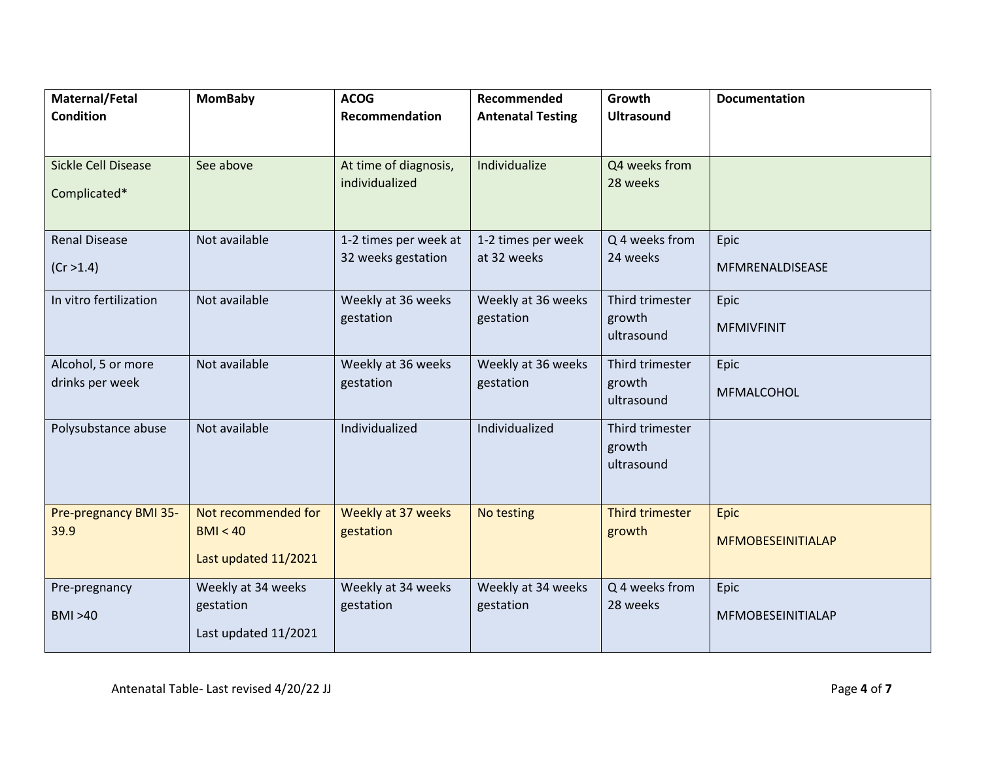| Maternal/Fetal             | <b>MomBaby</b>       | <b>ACOG</b>           | Recommended              | Growth                    | <b>Documentation</b>     |
|----------------------------|----------------------|-----------------------|--------------------------|---------------------------|--------------------------|
| <b>Condition</b>           |                      | Recommendation        | <b>Antenatal Testing</b> | <b>Ultrasound</b>         |                          |
|                            |                      |                       |                          |                           |                          |
| <b>Sickle Cell Disease</b> | See above            | At time of diagnosis, | Individualize            | Q4 weeks from             |                          |
| Complicated*               |                      | individualized        |                          | 28 weeks                  |                          |
|                            |                      |                       |                          |                           |                          |
| <b>Renal Disease</b>       | Not available        | 1-2 times per week at | 1-2 times per week       | Q 4 weeks from            | Epic                     |
| (Cr > 1.4)                 |                      | 32 weeks gestation    | at 32 weeks              | 24 weeks                  | MFMRENALDISEASE          |
| In vitro fertilization     | Not available        | Weekly at 36 weeks    | Weekly at 36 weeks       | Third trimester           | Epic                     |
|                            |                      | gestation             | gestation                | growth<br>ultrasound      | <b>MFMIVFINIT</b>        |
|                            |                      |                       |                          |                           |                          |
| Alcohol, 5 or more         | Not available        | Weekly at 36 weeks    | Weekly at 36 weeks       | Third trimester           | Epic                     |
| drinks per week            |                      | gestation             | gestation                | growth<br>ultrasound      | MFMALCOHOL               |
|                            |                      |                       |                          |                           |                          |
| Polysubstance abuse        | Not available        | Individualized        | Individualized           | Third trimester<br>growth |                          |
|                            |                      |                       |                          | ultrasound                |                          |
|                            |                      |                       |                          |                           |                          |
| Pre-pregnancy BMI 35-      | Not recommended for  | Weekly at 37 weeks    | No testing               | <b>Third trimester</b>    | <b>Epic</b>              |
| 39.9                       | BMI < 40             | gestation             |                          | growth                    | <b>MFMOBESEINITIALAP</b> |
|                            | Last updated 11/2021 |                       |                          |                           |                          |
| Pre-pregnancy              | Weekly at 34 weeks   | Weekly at 34 weeks    | Weekly at 34 weeks       | Q 4 weeks from            | Epic                     |
| <b>BMI &gt;40</b>          | gestation            | gestation             | gestation                | 28 weeks                  | MFMOBESEINITIALAP        |
|                            | Last updated 11/2021 |                       |                          |                           |                          |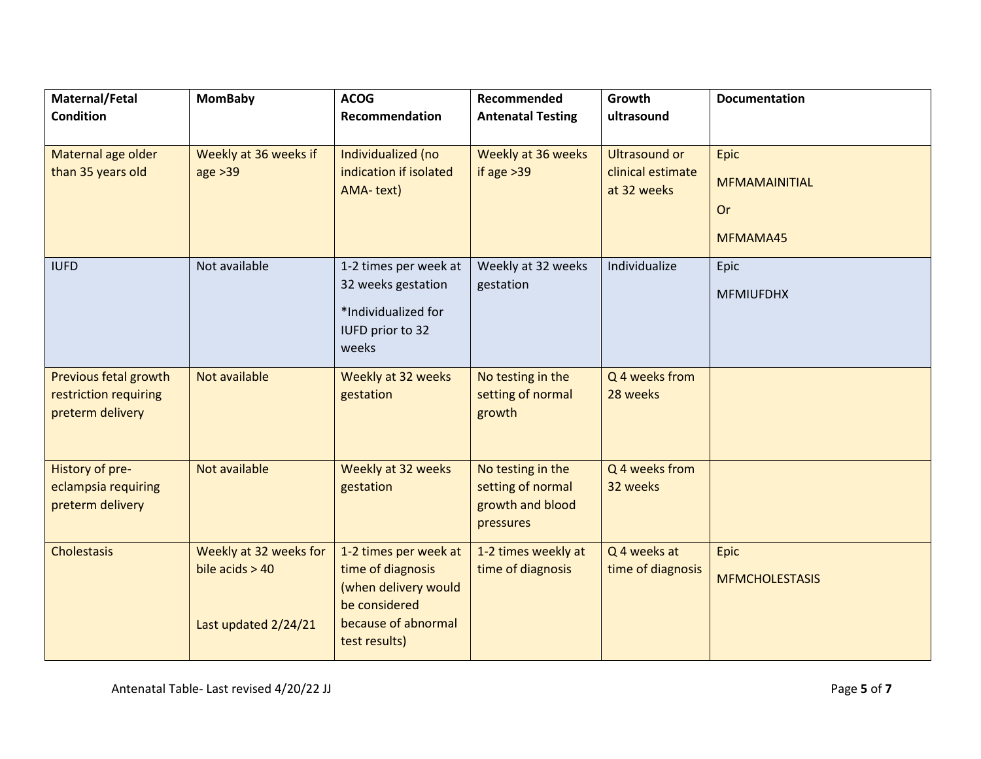| Maternal/Fetal                                                     | <b>MomBaby</b>                                                      | <b>ACOG</b>                                                                                                                 | Recommended                                                             | Growth                                                   | <b>Documentation</b>                                  |
|--------------------------------------------------------------------|---------------------------------------------------------------------|-----------------------------------------------------------------------------------------------------------------------------|-------------------------------------------------------------------------|----------------------------------------------------------|-------------------------------------------------------|
| <b>Condition</b>                                                   |                                                                     | Recommendation                                                                                                              | <b>Antenatal Testing</b>                                                | ultrasound                                               |                                                       |
| Maternal age older<br>than 35 years old                            | Weekly at 36 weeks if<br>age > 39                                   | Individualized (no<br>indication if isolated<br>AMA-text)                                                                   | Weekly at 36 weeks<br>if age $>39$                                      | <b>Ultrasound or</b><br>clinical estimate<br>at 32 weeks | Epic<br><b>MFMAMAINITIAL</b><br><b>Or</b><br>MFMAMA45 |
| <b>IUFD</b>                                                        | Not available                                                       | 1-2 times per week at<br>32 weeks gestation<br>*Individualized for<br>IUFD prior to 32<br>weeks                             | Weekly at 32 weeks<br>gestation                                         | Individualize                                            | Epic<br><b>MFMIUFDHX</b>                              |
| Previous fetal growth<br>restriction requiring<br>preterm delivery | Not available                                                       | Weekly at 32 weeks<br>gestation                                                                                             | No testing in the<br>setting of normal<br>growth                        | Q 4 weeks from<br>28 weeks                               |                                                       |
| History of pre-<br>eclampsia requiring<br>preterm delivery         | Not available                                                       | Weekly at 32 weeks<br>gestation                                                                                             | No testing in the<br>setting of normal<br>growth and blood<br>pressures | Q 4 weeks from<br>32 weeks                               |                                                       |
| Cholestasis                                                        | Weekly at 32 weeks for<br>bile $acids > 40$<br>Last updated 2/24/21 | 1-2 times per week at<br>time of diagnosis<br>(when delivery would<br>be considered<br>because of abnormal<br>test results) | 1-2 times weekly at<br>time of diagnosis                                | Q 4 weeks at<br>time of diagnosis                        | Epic<br><b>MFMCHOLESTASIS</b>                         |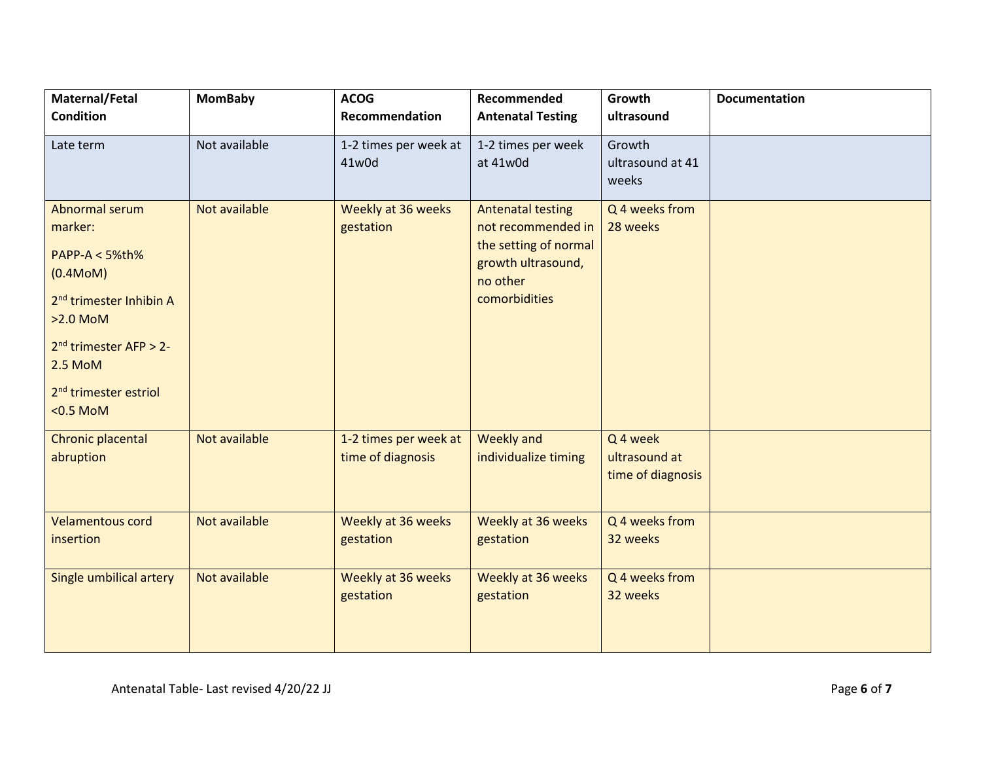| Maternal/Fetal                                                                                                                                                                                         | <b>MomBaby</b> | <b>ACOG</b>                                | Recommended                                                                                                                | Growth                                                    | <b>Documentation</b> |
|--------------------------------------------------------------------------------------------------------------------------------------------------------------------------------------------------------|----------------|--------------------------------------------|----------------------------------------------------------------------------------------------------------------------------|-----------------------------------------------------------|----------------------|
| <b>Condition</b>                                                                                                                                                                                       |                | Recommendation                             | <b>Antenatal Testing</b>                                                                                                   | ultrasound                                                |                      |
| Late term                                                                                                                                                                                              | Not available  | 1-2 times per week at<br>41w0d             | 1-2 times per week<br>at 41w0d                                                                                             | Growth<br>ultrasound at 41<br>weeks                       |                      |
| Abnormal serum<br>marker:<br>PAPP-A < 5%th%<br>(0.4M oM)<br>2 <sup>nd</sup> trimester Inhibin A<br>>2.0 MoM<br>$2nd$ trimester AFP > 2-<br>2.5 MoM<br>2 <sup>nd</sup> trimester estriol<br>$<$ 0.5 MoM | Not available  | Weekly at 36 weeks<br>gestation            | <b>Antenatal testing</b><br>not recommended in<br>the setting of normal<br>growth ultrasound,<br>no other<br>comorbidities | Q 4 weeks from<br>28 weeks                                |                      |
| Chronic placental<br>abruption                                                                                                                                                                         | Not available  | 1-2 times per week at<br>time of diagnosis | <b>Weekly and</b><br>individualize timing                                                                                  | Q <sub>4</sub> week<br>ultrasound at<br>time of diagnosis |                      |
| <b>Velamentous cord</b><br>insertion                                                                                                                                                                   | Not available  | Weekly at 36 weeks<br>gestation            | Weekly at 36 weeks<br>gestation                                                                                            | Q 4 weeks from<br>32 weeks                                |                      |
| Single umbilical artery                                                                                                                                                                                | Not available  | Weekly at 36 weeks<br>gestation            | Weekly at 36 weeks<br>gestation                                                                                            | Q 4 weeks from<br>32 weeks                                |                      |